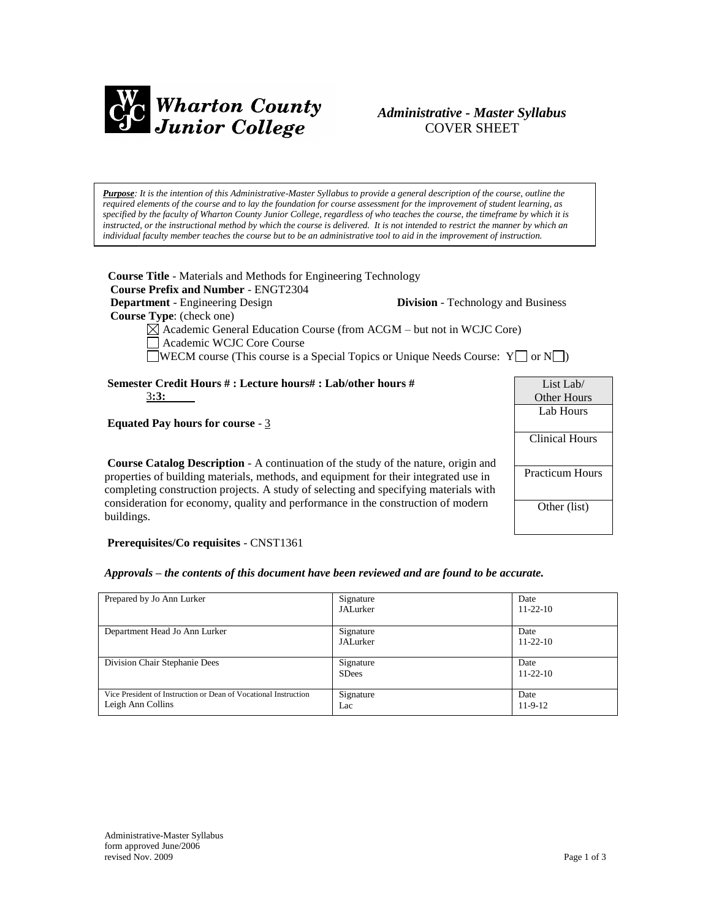

# *Administrative - Master Syllabus*  COVER SHEET

*Purpose: It is the intention of this Administrative-Master Syllabus to provide a general description of the course, outline the required elements of the course and to lay the foundation for course assessment for the improvement of student learning, as specified by the faculty of Wharton County Junior College, regardless of who teaches the course, the timeframe by which it is instructed, or the instructional method by which the course is delivered. It is not intended to restrict the manner by which an individual faculty member teaches the course but to be an administrative tool to aid in the improvement of instruction.*

| <b>Course Title</b> - Materials and Methods for Engineering Technology<br><b>Course Prefix and Number - ENGT2304</b>                                                                                                                                     |                                           |                                 |
|----------------------------------------------------------------------------------------------------------------------------------------------------------------------------------------------------------------------------------------------------------|-------------------------------------------|---------------------------------|
| <b>Department</b> - Engineering Design                                                                                                                                                                                                                   | <b>Division</b> - Technology and Business |                                 |
| <b>Course Type:</b> (check one)<br>$\boxtimes$ Academic General Education Course (from ACGM – but not in WCJC Core)<br>Academic WCJC Core Course<br><b>Solution</b> COUNCE The course is a Special Topics or Unique Needs Course: $Y \Box$ or $N \Box$ ) |                                           |                                 |
| Semester Credit Hours #: Lecture hours#: Lab/other hours #                                                                                                                                                                                               |                                           | List Lab/                       |
| 3:3:                                                                                                                                                                                                                                                     |                                           | <b>Other Hours</b><br>Lab Hours |
| Equated Pay hours for course - $3$                                                                                                                                                                                                                       |                                           |                                 |
|                                                                                                                                                                                                                                                          |                                           | <b>Clinical Hours</b>           |
| <b>Course Catalog Description - A continuation of the study of the nature, origin and</b>                                                                                                                                                                |                                           |                                 |
| properties of building materials, methods, and equipment for their integrated use in<br>completing construction projects. A study of selecting and specifying materials with                                                                             |                                           | <b>Practicum Hours</b>          |
| consideration for economy, quality and performance in the construction of modern                                                                                                                                                                         |                                           | Other (list)                    |

**Prerequisites/Co requisites** - CNST1361

buildings.

#### *Approvals – the contents of this document have been reviewed and are found to be accurate.*

| Prepared by Jo Ann Lurker                                                            | Signature<br>JALurker     | Date<br>$11 - 22 - 10$ |
|--------------------------------------------------------------------------------------|---------------------------|------------------------|
| Department Head Jo Ann Lurker                                                        | Signature<br>JALurker     | Date<br>$11 - 22 - 10$ |
| Division Chair Stephanie Dees                                                        | Signature<br><b>SDees</b> | Date<br>$11 - 22 - 10$ |
| Vice President of Instruction or Dean of Vocational Instruction<br>Leigh Ann Collins | Signature<br>Lac          | Date<br>$11-9-12$      |

Other (list)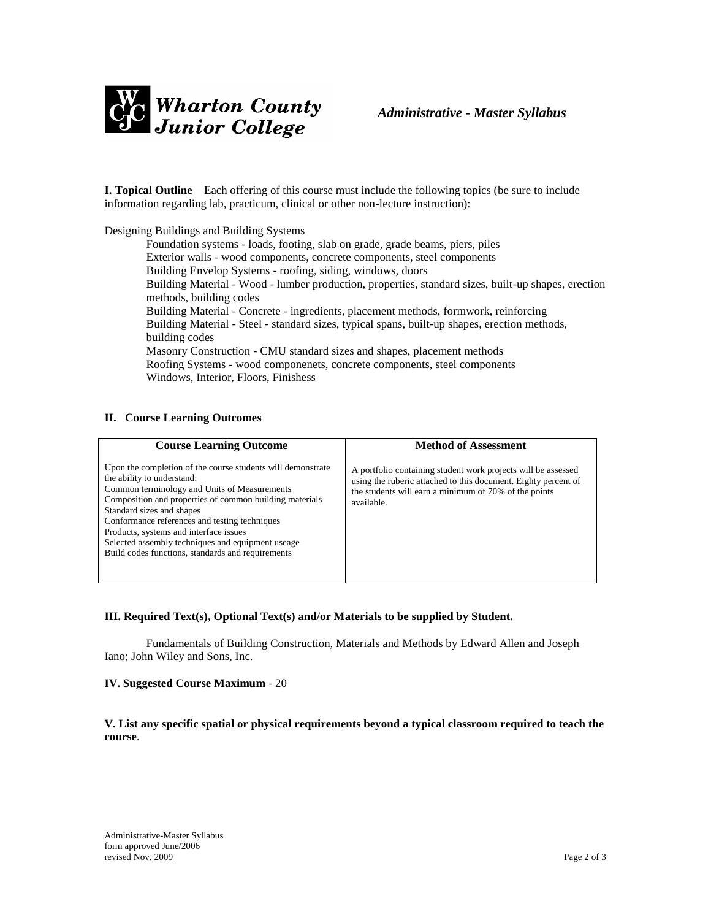

**I. Topical Outline** – Each offering of this course must include the following topics (be sure to include information regarding lab, practicum, clinical or other non-lecture instruction):

Designing Buildings and Building Systems

Foundation systems - loads, footing, slab on grade, grade beams, piers, piles Exterior walls - wood components, concrete components, steel components Building Envelop Systems - roofing, siding, windows, doors Building Material - Wood - lumber production, properties, standard sizes, built-up shapes, erection methods, building codes Building Material - Concrete - ingredients, placement methods, formwork, reinforcing Building Material - Steel - standard sizes, typical spans, built-up shapes, erection methods, building codes Masonry Construction - CMU standard sizes and shapes, placement methods Roofing Systems - wood componenets, concrete components, steel components Windows, Interior, Floors, Finishess

# **II. Course Learning Outcomes**

| <b>Course Learning Outcome</b>                                                                                                                                                                                                                                                                                                                                                                                                         | <b>Method of Assessment</b>                                                                                                                                                                            |
|----------------------------------------------------------------------------------------------------------------------------------------------------------------------------------------------------------------------------------------------------------------------------------------------------------------------------------------------------------------------------------------------------------------------------------------|--------------------------------------------------------------------------------------------------------------------------------------------------------------------------------------------------------|
| Upon the completion of the course students will demonstrate<br>the ability to understand:<br>Common terminology and Units of Measurements<br>Composition and properties of common building materials<br>Standard sizes and shapes<br>Conformance references and testing techniques<br>Products, systems and interface issues<br>Selected assembly techniques and equipment useage<br>Build codes functions, standards and requirements | A portfolio containing student work projects will be assessed<br>using the ruberic attached to this document. Eighty percent of<br>the students will earn a minimum of 70% of the points<br>available. |

# **III. Required Text(s), Optional Text(s) and/or Materials to be supplied by Student.**

Fundamentals of Building Construction, Materials and Methods by Edward Allen and Joseph Iano; John Wiley and Sons, Inc.

#### **IV. Suggested Course Maximum** - 20

**V. List any specific spatial or physical requirements beyond a typical classroom required to teach the course**.